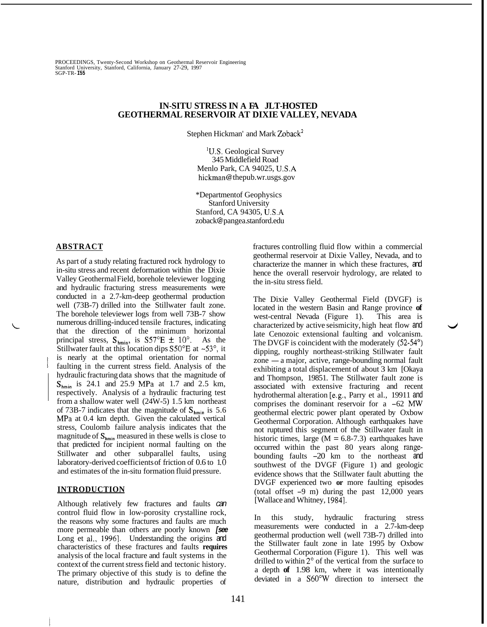PROCEEDINGS, Twenty-Second Workshop on Geothermal Reservoir Engineering Stanford University, Stanford, California, January 27-29, 1997 SGP-TR- **I55** 

## **IN-SITU STRESS IN A FA JLT-HOSTED GEOTHERMAL RESERVOIR AT DIXIE VALLEY, NEVADA**

Stephen Hickman' and Mark Zoback<sup>2</sup>

'U.S. Geological Survey 345 Middlefield Road Menlo Park, CA 94025, U.S.A hickman @ [thepub.wr.usgs.gov](http://thepub.wr.usgs.gov)

\*Department of Geophysics Stanford University Stanford, CA 94305, U.S.A zoback @ pangea[. stanford.edu](http://stanford.edu)

### **ABSTRACT**

As part of a study relating fractured rock hydrology to in-situ stress and recent deformation within the Dixie Valley Geothermal Field, borehole televiewer logging and hydraulic fracturing stress measurements were conducted in a 2.7-km-deep geothermal production well (73B-7) drilled into the Stillwater fault zone. The borehole televiewer logs from well 73B-7 show numerous drilling-induced tensile fractures, indicating that the direction of the minimum horizontal principal stress,  $S_{\text{hmin}}$ , is  $S57^{\circ}E \pm 10^{\circ}$ . As the Stillwater fault at this location dips  $S50^{\circ}E$  at ~53°, it is nearly at the optimal orientation for normal faulting in the current stress field. Analysis of the hydraulic fracturing data shows that the magnitude of  $S_{\text{hmin}}$  is 24.1 and 25.9 MPa at 1.7 and 2.5 km, respectively. Analysis of a hydraulic fracturing test from a shallow water well (24W-5) 1.5 km northeast of 73B-7 indicates that the magnitude of  $S_{hmin}$  is 5.6 MPa at 0.4 km depth. Given the calculated vertical stress, Coulomb failure analysis indicates that the magnitude of  $S_{\text{hmin}}$  measured in these wells is close to that predicted for incipient normal faulting on the Stillwater and other subparallel faults, using laboratory-derived coefficients of friction of 0.6 to 1.0 and estimates of the in-situ formation fluid pressure.

### **INTRODUCTION**

Although relatively few fractures and faults *can*  control fluid flow in low-porosity crystalline rock, the reasons why some fractures and faults are much more permeable than others are poorly known *[see*  Long et al., 1996]. Understanding the origins and characteristics of these fractures and faults **requires**  analysis of the local fracture and fault systems in the context of the current stress field and tectonic history. The primary objective of this study is to define the nature, distribution and hydraulic properties of

fractures controlling fluid flow within a commercial geothermal reservoir at Dixie Valley, Nevada, and to characterize the manner in which these fractures, and hence the overall reservoir hydrology, are related to the in-situ stress field.

The Dixie Valley Geothermal Field (DVGF) is located in the western Basin and Range province **of**  west-central Nevada (Figure 1). This area is late Cenozoic extensional faulting and volcanism. The DVGF is coincident with the moderately (52-54<sup>o</sup>) dipping, roughly northeast-striking Stillwater fault The DVGF is coincident with the moderately  $(52-54^{\circ})$ <br>dipping, roughly northeast-striking Stillwater fault<br>zone — a major, active, range-bounding normal fault exhibiting a total displacement of about 3 km [Okaya and Thompson, 19851. The Stillwater fault zone is associated with extensive fracturing and recent hydrothermal alteration [e.g., Parry et al., 19911 and comprises the dominant reservoir for a -62 *MW*  geothermal electric power plant operated by Oxbow Geothermal Corporation. Although earthquakes have not ruptured this segment of the Stillwater fault in historic times, large  $(M = 6.8 - 7.3)$  earthquakes have occurred within the past 80 years along rangebounding faults -20 km to the northeast and southwest of the DVGF (Figure 1) and geologic evidence shows that the Stillwater fault abutting the DVGF experienced two **or** more faulting episodes (total offset -9 m) during the past 12,000 years [Wallace and Whitney, 1984]. characterized by active seismicity, high heat flow and

In this study, hydraulic fracturing stress measurements were conducted in a 2.7-km-deep geothermal production well (well 73B-7) drilled into the Stillwater fault zone in late 1995 by Oxbow Geothermal Corporation (Figure 1). This well was drilled to within  $2^{\circ}$  of the vertical from the surface to a depth **of** 1.98 km, where it was intentionally deviated in a S60"W direction to intersect the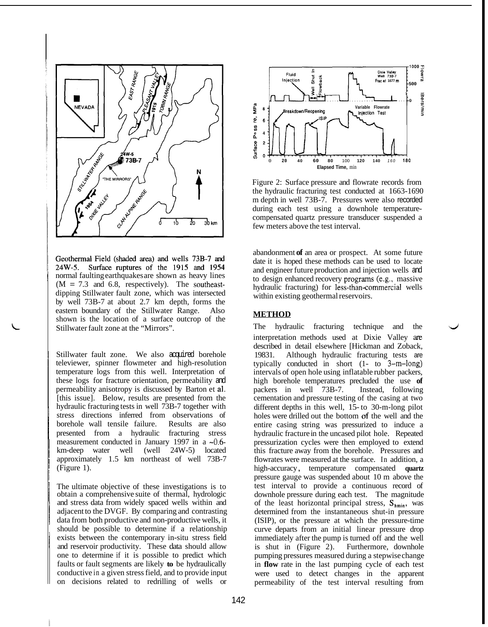

Geothermal Field (shaded area) and wells 73B-7 and 24W-5. Surface ruptures of the 1915 and 1954 normal faulting earthquakes are shown as heavy lines  $(M = 7.3 \text{ and } 6.8, \text{ respectively).}$  The southeastdipping Stillwater fault zone, which was intersected by well 73B-7 at about 2.7 km depth, forms the eastern boundary of the Stillwater Range. Also shown is the location of a surface outcrop of the Stillwater fault zone at the "Mirrors".

I

li

1

L

Stillwater fault zone. We also acquired borehole televiewer, spinner flowmeter and high-resolution temperature logs from this well. Interpretation of these logs for fracture orientation, permeability and permeability anisotropy is discussed by Barton et a]. [this issue]. Below, results are presented from the hydraulic fracturing tests in well 73B-7 together with stress directions inferred from observations of <sup>~</sup>borehole wall tensile failure. Results are also presented from a hydraulic fracturing stress measurement conducted in January 1997 in a  $\sim 0.6$ km-deep water well (well 24W-5) located approximately 1.5 km northeast of well 73B-7 (Figure 1).

The ultimate objective of these investigations is to obtain a comprehensive suite of thermal, hydrologic and stress data from widely spaced wells within and adjacent to the DVGF. By comparing and contrasting data from both productive and non-productive wells, it should be possible to determine if a relationship exists between the contemporary in-situ stress field and reservoir productivity. These data should allow one to determine if it is possible to predict which faults or fault segments are likely **to** be hydraulically conductive in a given stress field, and to provide input on decisions related to redrilling of wells or



Figure 2: Surface pressure and flowrate records from the hydraulic fracturing test conducted at 1663-1690 m depth in well 73B-7. Pressures were also recorded during each test using a downhole temperaturecompensated quartz pressure transducer suspended a few meters above the test interval.

abandonment **of** an area or prospect. At some future date it is hoped these methods can be used to locate and engineer future production and injection wells and to design enhanced recovery programs (e.g., massive hydraulic fracturing) for less-than-commercial wells within existing geothermal reservoirs.

### **METHOD**

The hydraulic fracturing technique and the interpretation methods used at Dixie Valley **are**  described in detail elsewhere [Hickman and Zoback, 19831. Although hydraulic fracturing tests are typically conducted in short (1- to 3-m-long) intervals of open hole using inflatable rubber packers, high borehole temperatures precluded the use **of**  packers in well 73B-7. Instead, following cementation and pressure testing of the casing at two different depths in this well, 15- to 30-m-long pilot holes were drilled out the bottom of the well and the entire casing string was pressurized to induce a hydraulic fracture in the uncased pilot hole. Repeated pressurization cycles were then employed to extend this fracture away from the borehole. Pressures and flowrates were measured at the surface. In addition, a high-accuracy , temperature compensated **quartz**  pressure gauge was suspended about 10 m above the test interval to provide a continuous record of downhole pressure during each test. The magnitude of the least horizontal principal stress,  $S_{hmin}$ , was determined from the instantaneous shut-in pressure (ISIP), or the pressure at which the pressure-time curve departs from an initial linear pressure drop immediately after the pump is turned off and the well is shut in (Figure 2). Furthermore, downhole pumping pressures measured during a stepwise change in **flow** rate in the last pumping cycle of each test were used to detect changes in the apparent permeability of the test interval resulting from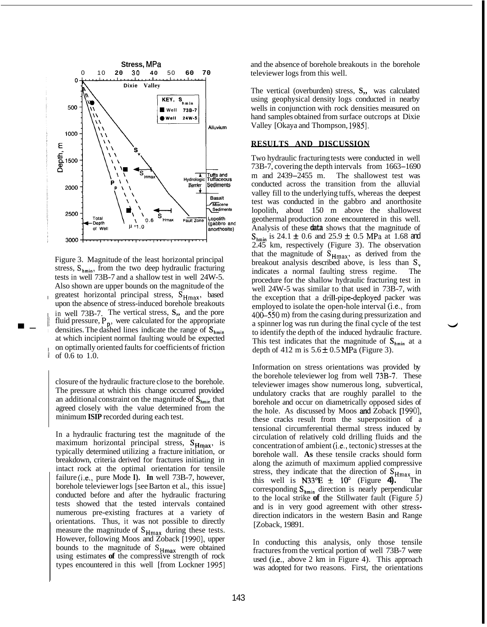

 $\blacksquare$ [Figure](#page--1-0) 3. Magnitude of the least horizontal principal stress,  $S_{hmin}$ , from the two deep hydraulic fracturing tests in well 73B-7 and a shallow test in well 24W-5. Also shown are upper bounds on the magnitude of the greatest horizontal principal stress, S<sub>Hmax</sub>, based upon the absence of stress-induced borehole breakouts 1 in well 73B-7. The vertical stress, **S,,** and the pore fluid pressure,  $P_n$ , were calculated for the appropriate densities. The dashed lines indicate the range of  $S_{hmin}$ at which incipient normal faulting would be expected on optimally oriented faults for coefficients of friction of 0.6 to 1.0.

> closure of the hydraulic fracture close to the borehole. The pressure at which this change occurred provided an additional constraint on the magnitude of  $S_{\text{hmin}}$  that agreed closely with the value determined from the minimum **ISIP** recorded during each test.

> In a hydraulic fracturing test the magnitude of the maximum horizontal principal stress, S<sub>Hmax</sub>, is typically determined utilizing a fracture initiation, or breakdown, criteria derived for fractures initiating in intact rock at the optimal orientation for tensile failure (i.e., pure Mode I). In well 73B-7, however, borehole televiewer logs [see Barton et al., this issue] conducted before and after the hydraulic fracturing tests showed that the tested intervals contained numerous pre-existing fractures at a variety of orientations. Thus, it was not possible to directly measure the magnitude of  $S_{Hmax}$  during these tests. However, following Moos and Zoback [1990], upper bounds to the magnitude of S<sub>Hmax</sub> were obtained using estimates **of** the compressive strength of rock types encountered in this well [from Lockner 1995]

and the absence of borehole breakouts in the borehole televiewer logs from this well.

The vertical (overburden) stress, **S,,** was calculated using geophysical density logs conducted in nearby wells in conjunction with rock densities measured on hand samples obtained from surface outcrops at Dixie Valley [Okaya and Thompson, 1985].

### **RESULTS AND DISCUSSION**

Two hydraulic fracturing tests were conducted in well 1 wo nydraulic fracturing tests were conducted in well<br>73B-7, covering the depth intervals from 1663–1690  $/3B<sub>-</sub>$ , covering the depth intervals from  $1663-1690$  m and  $2439-2455$  m. The shallowest test was conducted across the transition from the alluvial valley fill to the underlying tuffs, whereas the deepest test was conducted in the gabbro and anorthosite lopolith, about 150 m above the shallowest geothermal production zone encountered in this well. Analysis of these **data** shows that the magnitude of  $S_{\text{hmin}}$  is 24.1  $\pm$  0.6 and 25.9  $\pm$  0.5 MPa at 1.68 and 2.45 km, respectively (Figure 3). The observation that the magnitude of **SHmax,** as derived from the breakout analysis described above, is less than **S,**  indicates a normal faulting stress regime. The procedure for the shallow hydraulic fracturing test in well 24W-5 was similar to that used in 73B-7, with the exception that a drill-pipe-deployed packer was employed to isolate the open-hole interval (i.e., from 400-550 m) from the casing during pressurization and to identify the depth of the induced hydraulic fracture. This test indicates that the magnitude of  $S_{hmin}$  at a depth of 412 m is  $5.6 \pm 0.5$  MPa (Figure 3). a spinner log was run during the final cycle of the test

Information on stress orientations was provided by the borehole televiewer log from well 73B-7. These televiewer images show numerous long, subvertical, undulatory cracks that are roughly parallel to the borehole and occur on diametrically opposed sides of the hole. As discussed by Moos and Zoback [1990], these cracks result from the superposition of a tensional circumferential thermal stress induced by circulation of relatively cold drilling fluids and the concentration of ambient  $(i.e., *tectonic*)$  stresses at the borehole wall. **As** these tensile cracks should form along the azimuth of maximum applied compressive stress, they indicate that the direction of  $S_{Hmax}$  in this well is  $N33^{\circ}E \pm 10^{\circ}$  (Figure 4). The corresponding  $S_{hmin}$  direction is nearly perpendicular to the local strike **of** the Stillwater fault (Figure *5)*  and is in very good agreement with other stressdirection indicators in the western Basin and Range [Zoback, 19891.

In conducting this analysis, only those tensile fractures from the vertical portion of well 73B-7 were used  $(i.e., above 2 km in Figure 4)$ . This approach was adopted for two reasons. First, the orientations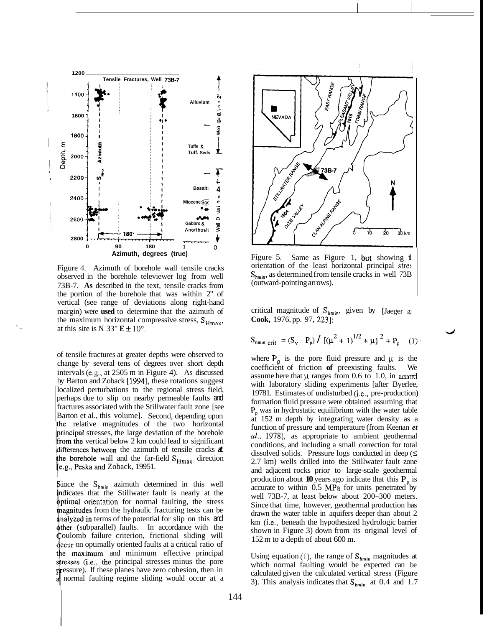

Figure 4. Azimuth of borehole wall tensile cracks observed in the borehole televiewer log from well 73B-7. **As** described in the text, tensile cracks from the portion of the borehole that was within 2" of vertical (see range of deviations along right-hand margin) were **used** to determine that the azimuth of the maximum horizontal compressive stress,  $S_{Hmax}$ , at this site is N 33"  $E \pm 10^{\circ}$ .

of tensile fractures at greater depths were observed to change by several tens of degrees over short depth intervals (e.g., at 2505 m in Figure 4). As discussed by Barton and Zoback [1994], these rotations suggest localized perturbations to the regional stress field, perhaps due to slip on nearby permeable faults and fractures associated with the Stillwater fault zone [see Barton et al., this volume]. Second, depending upon relative magnitudes of the two horizontal principal stresses, the large deviation of the borehole from the vertical below  $2 \text{ km}$  could lead to significant differences between the azimuth of tensile cracks  $\boldsymbol{\alpha}$ the borehole wall and the far-field S<sub>Hmax</sub> direction [e.g., Peska and Zoback, 19951.

Since the  $S_{hmin}$  azimuth determined in this well indicates that the Stillwater fault is nearly at the **optimal orientation** for normal faulting, the stress magnitudes from the hydraulic fracturing tests can be analyzed in terms of the potential for slip on this and other (subparallel) faults. In accordance with the **Coulomb** failure criterion, frictional sliding will **decur** on optimally oriented faults at a critical ratio of the maximum and minimum effective principal stresses (*i.e.*, the principal stresses minus the pore essure). If these planes have zero cohesion, then in normal faulting regime sliding would occur at a



[Figure](#page--1-0) 5. Same as Figure 1, but showing the orientation of the least horizontal principal stres  $S_{\text{hmin}}$ , as determined from tensile cracks in well 73B (outward-pointing arrows).

critical magnitude of  $S_{hmin}$ , given by [Jaeger a] **Cook,** 1976, [pp. 97,](#page--1-0) 2231:

$$
S_{\text{hmin crit}} = (S_{\text{v}} - P_{\text{p}}) / [( \mu^2 + 1)^{1/2} + \mu ]^2 + P_{\text{p}} \quad (1)
$$

where  $P_p$  is the pore fluid pressure and  $\mu$  is the coefficient of friction **of** preexisting faults. We assume here that  $\mu$  ranges from 0.6 to 1.0, in accord with laboratory sliding experiments [after Byerlee, 19781. Estimates of undisturbed (i.e., pre-production) formation fluid pressure were obtained assuming that **P,** was in hydrostatic equilibrium with the water table at 152 m depth by integrating water density as a function of pressure and temperature (from Keenan *et al.,* 1978), as appropriate to ambient geothermal conditions, and including a small correction for total dissolved solids. Pressure logs conducted in deep  $(\leq)$ 2.7 km) wells drilled into the Stillwater fault zone and adjacent rocks prior to large-scale geothermal production about **10** years ago indicate that this  $P_p$  is accurate to within  $0.5$  MPa for units penetrated by well 73B-7, at least below about 200-300 meters. Since that time, however, geothermal production has drawn the water table in aquifers deeper than about 2 km (i.e., beneath the hypothesized hydrologic barrier shown in Figure 3) down from its original level of 152 m to a depth of about 600 m.

Using equation (1), the range of  $S_{hmin}$  magnitudes at which normal faulting would be expected can be calculated given the calculated vertical stress (Figure 3). This analysis indicates that  $S_{\text{bmin}}$  at 0.4 and 1.7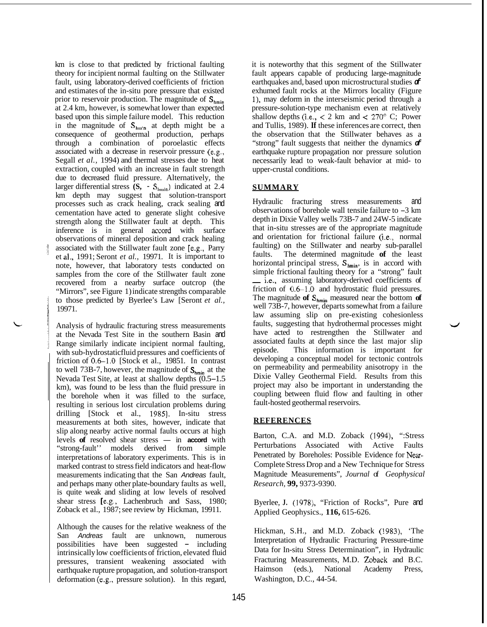km is close to that predicted by frictional faulting theory for incipient normal faulting on the Stillwater fault, using laboratory-derived coefficients of friction and estimates of the in-situ pore pressure that existed prior to reservoir production. The magnitude of  $S_{\text{hmin}}$ at 2.4 km, however, is somewhat lower than expected based upon this simple failure model. This reduction in the magnitude of **Shmin** at depth might be a consequence of geothermal production, perhaps through a combination of poroelastic effects associated with a decrease in reservoir pressure (e.g., Segall *et al.,* 1994) and thermal stresses due to heat extraction, coupled with an increase in fault strength due to decreased fluid pressure. Alternatively, the larger differential stress  $(S, -S_{\text{hmin}})$  indicated at 2.4 km depth may suggest that solution-transport processes such as crack healing, crack sealing and cementation have acted to generate slight cohesive strength along the Stillwater fault at depth. This inference is in general accord with surface observations of mineral deposition and crack healing associated with the Stillwater fault zone [e.g., Parry et al., 1991; Seront *et al.,* 19971. It is important to note, however, that laboratory tests conducted on samples from the core of the Stillwater fault zone recovered from a nearby surface outcrop (the "Mirrors", see Figure 1) indicate strengths comparable to those predicted by Byerlee's Law [Seront *et al.,*  19971.

Analysis of hydraulic fracturing stress measurements at the Nevada Test Site in the southern Basin and Range similarly indicate incipient normal faulting, with sub-hydrostatic fluid pressures and coefficients of friction of 0.6-1.0 [Stock et al., 19851. In contrast to well 73B-7, however, the magnitude of  $S_{\text{hmin}}$  at the Nevada Test Site, at least at shallow depths (0.5-1.5 km), was found to be less than the fluid pressure in the borehole when it was filled to the surface, resulting in serious lost circulation problems during drilling [Stock et al., 1985]. In-situ stress measurements at both sites, however, indicate that slip along nearby active normal faults occurs at high measurements at both sites, however, indicate that<br>slip along nearby active normal faults occurs at high<br>levels **of** resolved shear stress - in **accord** with<br>"trans fault", models derived from simple "strong-fault'' models derived from simple interpretations of laboratory experiments. This is in marked contrast to stress field indicators and heat-flow measurements indicating that the San *Andreas* fault, and perhaps many other plate-boundary faults as well, is quite weak and sliding at low levels of resolved shear stress [e.g., Lachenbruch and Sass, 1980; Zoback et al., 1987; see review by Hickman, 19911.

Although the causes for the relative weakness of the San *Andreas* fault are unknown, numerous possibilities have been suggested - including intrinsically low coefficients of friction, elevated fluid pressures, transient weakening associated with earthquake rupture propagation, and solution-transport deformation (e.g., pressure solution). In this regard, it is noteworthy that this segment of the Stillwater fault appears capable of producing large-magnitude earthquakes and, based upon microstructural studies *of*  exhumed fault rocks at the Mirrors locality (Figure 1), may deform in the interseismic period through a pressure-solution-type mechanism even at relatively shallow depths (i.e.,  $\lt$  2 km and  $\lt$  270° C; Power and Tullis, 1989). **If** these inferences are correct, then the observation that the Stillwater behaves as a "strong" fault suggests that neither the dynamics *of*  earthquake rupture propagation nor pressure solution necessarily lead to weak-fault behavior at mid- to upper-crustal conditions.

# **SUMMARY**

Hydraulic fracturing stress measurements and observations of borehole wall tensile failure to -3 km depth in Dixie Valley wells 73B-7 and 24W-5 indicate that in-situ stresses are of the appropriate magnitude and orientation for frictional failure (i.e., normal faulting) on the Stillwater and nearby sub-parallel faults. The determined magnitude **of** the least horizontal principal stress,  $S_{hmin}$ , is in accord with simple frictional faulting theory for a "strong" fault - i.e., assuming laboratory-derived coefficients of friction of 0.6-1.0 and hydrostatic fluid pressures. The magnitude of  $S_{hmin}$  measured near the bottom of well 73B-7, however, departs somewhat from a failure law assuming slip on pre-existing cohesionless faults, suggesting that hydrothermal processes might have acted to restrengthen the Stillwater and associated faults at depth since the last major slip episode. This information is important for developing a conceptual model for tectonic controls on permeability and permeability anisotropy in the Dixie Valley Geothermal Field. Results from this project may also be important in understanding the coupling between fluid flow and faulting in other fault-hosted geothermal reservoirs.

# **REFERENCES**

Barton, C.A. and M.D. Zoback (1994), ":Stress Perturbations Associated with Active Faults Penetrated by Boreholes: Possible Evidence for Near-Complete Stress Drop and a New Technique for Stress Magnitude Measurements", *Journal* of *Geophysical Research,* **99,** 9373-9390.

Byerlee, **J.** (1978), "Friction of Rocks", Pure and Applied Geophysics., **116,** 615-626.

Hickman, S.H., and M.D. Zoback (1983), 'The Interpretation of Hydraulic Fracturing Pressure-time Data for In-situ Stress Determination", in Hydraulic Fracturing Measurements, M.D. Zoback and B.C. Haimson (eds.), National Academy Press, Washington, D.C., 44-54.